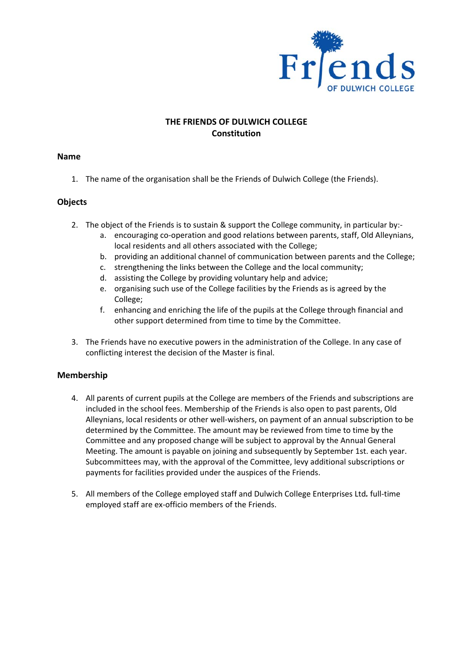

## **THE FRIENDS OF DULWICH COLLEGE Constitution**

#### **Name**

1. The name of the organisation shall be the Friends of Dulwich College (the Friends).

#### **Objects**

- 2. The object of the Friends is to sustain & support the College community, in particular by:
	- a. encouraging co‐operation and good relations between parents, staff, Old Alleynians, local residents and all others associated with the College;
	- b. providing an additional channel of communication between parents and the College;
	- c. strengthening the links between the College and the local community;
	- d. assisting the College by providing voluntary help and advice;
	- e. organising such use of the College facilities by the Friends as is agreed by the College;
	- f. enhancing and enriching the life of the pupils at the College through financial and other support determined from time to time by the Committee.
- 3. The Friends have no executive powers in the administration of the College. In any case of conflicting interest the decision of the Master is final.

### **Membership**

- 4. All parents of current pupils at the College are members of the Friends and subscriptions are included in the school fees. Membership of the Friends is also open to past parents, Old Alleynians, local residents or other well-wishers, on payment of an annual subscription to be determined by the Committee. The amount may be reviewed from time to time by the Committee and any proposed change will be subject to approval by the Annual General Meeting. The amount is payable on joining and subsequently by September 1st. each year. Subcommittees may, with the approval of the Committee, levy additional subscriptions or payments for facilities provided under the auspices of the Friends.
- 5. All members of the College employed staff and Dulwich College Enterprises Ltd*.* full‐time employed staff are ex‐officio members of the Friends.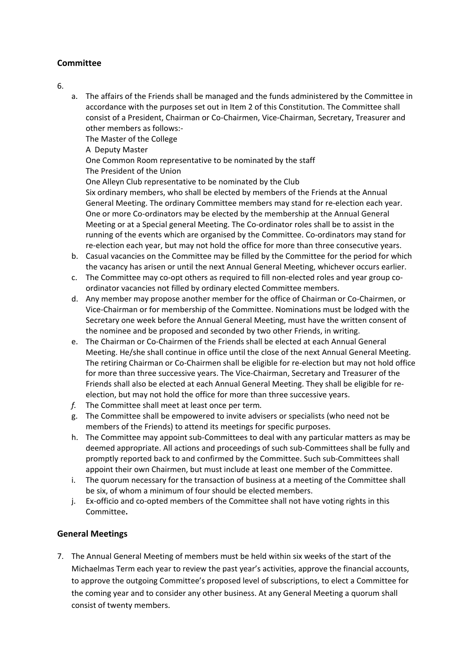## **Committee**

6.

a. The affairs of the Friends shall be managed and the funds administered by the Committee in accordance with the purposes set out in Item 2 of this Constitution. The Committee shall consist of a President, Chairman or Co‐Chairmen, Vice‐Chairman, Secretary, Treasurer and other members as follows:‐

The Master of the College

A Deputy Master

One Common Room representative to be nominated by the staff The President of the Union

One Alleyn Club representative to be nominated by the Club

Six ordinary members, who shall be elected by members of the Friends at the Annual General Meeting. The ordinary Committee members may stand for re‐election each year. One or more Co-ordinators may be elected by the membership at the Annual General Meeting or at a Special general Meeting. The Co‐ordinator roles shall be to assist in the running of the events which are organised by the Committee. Co-ordinators may stand for re-election each year, but may not hold the office for more than three consecutive years.

- b. Casual vacancies on the Committee may be filled by the Committee for the period for which the vacancy has arisen or until the next Annual General Meeting, whichever occurs earlier.
- c. The Committee may co-opt others as required to fill non-elected roles and year group coordinator vacancies not filled by ordinary elected Committee members.
- d. Any member may propose another member for the office of Chairman or Co‐Chairmen, or Vice‐Chairman or for membership of the Committee. Nominations must be lodged with the Secretary one week before the Annual General Meeting, must have the written consent of the nominee and be proposed and seconded by two other Friends, in writing.
- e. The Chairman or Co‐Chairmen of the Friends shall be elected at each Annual General Meeting. He/she shall continue in office until the close of the next Annual General Meeting. The retiring Chairman or Co-Chairmen shall be eligible for re-election but may not hold office for more than three successive years. The Vice‐Chairman, Secretary and Treasurer of the Friends shall also be elected at each Annual General Meeting. They shall be eligible for re‐ election, but may not hold the office for more than three successive years.
- *f.* The Committee shall meet at least once per term*.*
- g. The Committee shall be empowered to invite advisers or specialists (who need not be members of the Friends) to attend its meetings for specific purposes.
- h. The Committee may appoint sub-Committees to deal with any particular matters as may be deemed appropriate. All actions and proceedings of such sub‐Committees shall be fully and promptly reported back to and confirmed by the Committee. Such sub‐Committees shall appoint their own Chairmen, but must include at least one member of the Committee.
- i. The quorum necessary for the transaction of business at a meeting of the Committee shall be six, of whom a minimum of four should be elected members.
- j. Ex-officio and co-opted members of the Committee shall not have voting rights in this Committee**.**

# **General Meetings**

7. The Annual General Meeting of members must be held within six weeks of the start of the Michaelmas Term each year to review the past year's activities, approve the financial accounts, to approve the outgoing Committee's proposed level of subscriptions, to elect a Committee for the coming year and to consider any other business. At any General Meeting a quorum shall consist of twenty members.